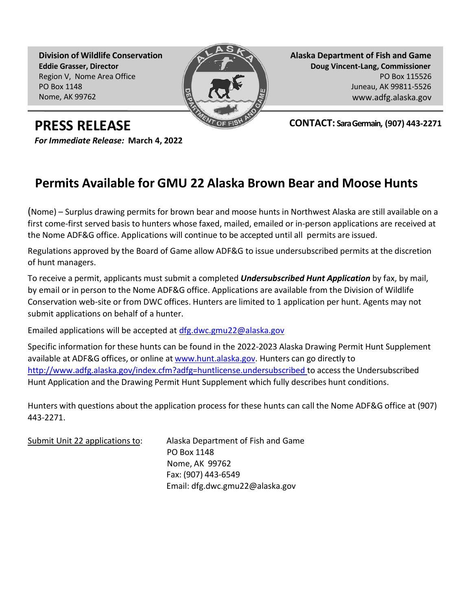**Division of Wildlife Conservation Eddie Grasser, Director** Region V, Nome Area Office PO Box 1148 Nome, AK 99762



**Alaska Department of Fish and Game Doug Vincent-Lang, Commissioner** PO Box 115526 Juneau, AK 99811-5526 [www.adfg.alaska.gov](http://www.adfg.alaska.gov/)

**CONTACT: Sara Germain, (907) 443-2271**

**PRESS RELEASE**

*For Immediate Release:* **March 4, 2022**

## **Permits Available for GMU 22 Alaska Brown Bear and Moose Hunts**

(Nome) – Surplus drawing permits for brown bear and moose hunts in Northwest Alaska are still available on a first come-first served basis to hunters whose faxed, mailed, emailed or in-person applications are received at the Nome ADF&G office. Applications will continue to be accepted until all permits are issued.

Regulations approved by the Board of Game allow ADF&G to issue undersubscribed permits at the discretion of hunt managers.

To receive a permit, applicants must submit a completed *Undersubscribed Hunt Application* by fax, by mail, by email or in person to the Nome ADF&G office. Applications are available from the Division of Wildlife Conservation web-site or from DWC offices. Hunters are limited to 1 application per hunt. Agents may not submit applications on behalf of a hunter.

Emailed applications will be accepted at [dfg.dwc.gmu22@alaska.gov](mailto:dfg.dwc.gmu22@alaska.gov)

Specific information for these hunts can be found in the 2022-2023 Alaska Drawing Permit Hunt Supplement available at ADF&G offices, or online at [www.hunt.alaska.gov.](http://www.hunt.alaska.gov/) Hunters can go directly to <http://www.adfg.alaska.gov/index.cfm?adfg=huntlicense.undersubscribed> to access the Undersubscribed Hunt Application and the Drawing Permit Hunt Supplement which fully describes hunt conditions.

Hunters with questions about the application process for these hunts can call the Nome ADF&G office at (907) 443-2271.

Submit Unit 22 applications to: Alaska Department of Fish and Game PO Box 1148 Nome, AK 99762 Fax: (907) 443-6549 Email: dfg.dwc.gmu22@alaska.gov